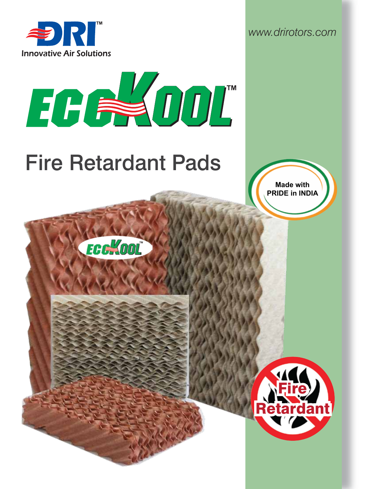

*www.drirotors.com*



# Fire Retardant Pads

**FCG** OOL

**Made with PRIDE in INDIA**